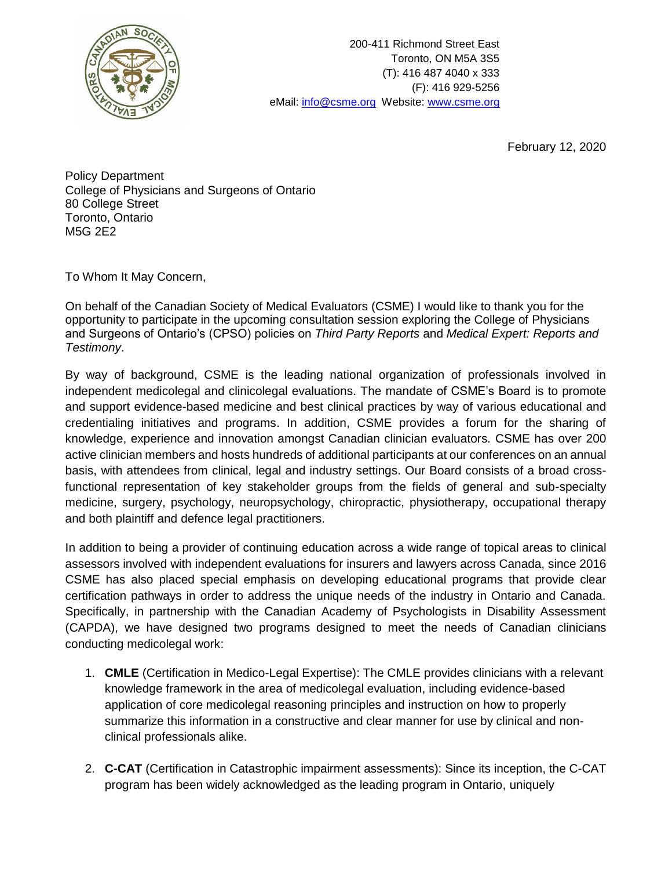

200-411 Richmond Street East Toronto, ON M5A 3S5 (T): 416 487 4040 x 333 (F): 416 929-5256 eMail: [info@csme.org](mailto:info@csme.org) Website: [www.csme.org](http://www.csme.org/)

February 12, 2020

Policy Department College of Physicians and Surgeons of Ontario 80 College Street Toronto, Ontario M5G 2E2

To Whom It May Concern,

On behalf of the Canadian Society of Medical Evaluators (CSME) I would like to thank you for the opportunity to participate in the upcoming consultation session exploring the College of Physicians and Surgeons of Ontario's (CPSO) policies on *Third Party Reports* and *Medical Expert: Reports and Testimony*.

By way of background, CSME is the leading national organization of professionals involved in independent medicolegal and clinicolegal evaluations. The mandate of CSME's Board is to promote and support evidence-based medicine and best clinical practices by way of various educational and credentialing initiatives and programs. In addition, CSME provides a forum for the sharing of knowledge, experience and innovation amongst Canadian clinician evaluators. CSME has over 200 active clinician members and hosts hundreds of additional participants at our conferences on an annual basis, with attendees from clinical, legal and industry settings. Our Board consists of a broad crossfunctional representation of key stakeholder groups from the fields of general and sub-specialty medicine, surgery, psychology, neuropsychology, chiropractic, physiotherapy, occupational therapy and both plaintiff and defence legal practitioners.

In addition to being a provider of continuing education across a wide range of topical areas to clinical assessors involved with independent evaluations for insurers and lawyers across Canada, since 2016 CSME has also placed special emphasis on developing educational programs that provide clear certification pathways in order to address the unique needs of the industry in Ontario and Canada. Specifically, in partnership with the Canadian Academy of Psychologists in Disability Assessment (CAPDA), we have designed two programs designed to meet the needs of Canadian clinicians conducting medicolegal work:

- 1. **CMLE** (Certification in Medico-Legal Expertise): The CMLE provides clinicians with a relevant knowledge framework in the area of medicolegal evaluation, including evidence-based application of core medicolegal reasoning principles and instruction on how to properly summarize this information in a constructive and clear manner for use by clinical and nonclinical professionals alike.
- 2. **C-CAT** (Certification in Catastrophic impairment assessments): Since its inception, the C-CAT program has been widely acknowledged as the leading program in Ontario, uniquely